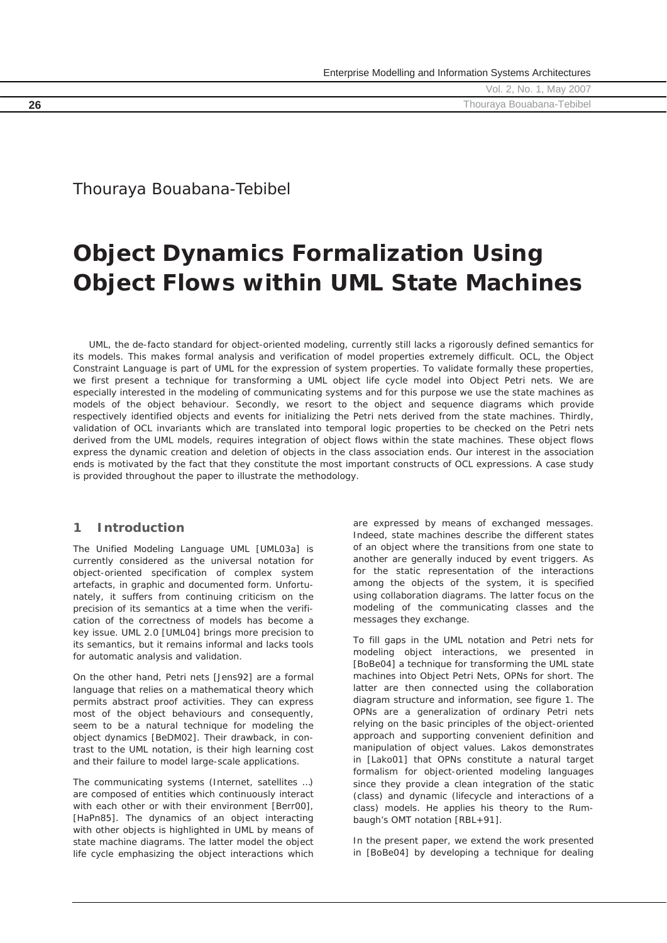# Thouraya Bouabana-Tebibel

# **Object Dynamics Formalization Using Object Flows within UML State Machines**

*UML, the de-facto standard for object-oriented modeling, currently still lacks a rigorously defined semantics for its models. This makes formal analysis and verification of model properties extremely difficult. OCL, the Object Constraint Language is part of UML for the expression of system properties. To validate formally these properties,*  we first present a technique for transforming a UML object life cycle model into Object Petri nets. We are *especially interested in the modeling of communicating systems and for this purpose we use the state machines as models of the object behaviour. Secondly, we resort to the object and sequence diagrams which provide respectively identified objects and events for initializing the Petri nets derived from the state machines. Thirdly, validation of OCL invariants which are translated into temporal logic properties to be checked on the Petri nets derived from the UML models, requires integration of object flows within the state machines. These object flows express the dynamic creation and deletion of objects in the class association ends. Our interest in the association ends is motivated by the fact that they constitute the most important constructs of OCL expressions. A case study is provided throughout the paper to illustrate the methodology.* 

# **1 Introduction**

The Unified Modeling Language UML [UML03a] is currently considered as the universal notation for object-oriented specification of complex system artefacts, in graphic and documented form. Unfortunately, it suffers from continuing criticism on the precision of its semantics at a time when the verification of the correctness of models has become a key issue. UML 2.0 [UML04] brings more precision to its semantics, but it remains informal and lacks tools for automatic analysis and validation.

On the other hand, Petri nets [Jens92] are a formal language that relies on a mathematical theory which permits abstract proof activities. They can express most of the object behaviours and consequently, seem to be a natural technique for modeling the object dynamics [BeDM02]. Their drawback, in contrast to the UML notation, is their high learning cost and their failure to model large-scale applications.

The communicating systems (Internet, satellites …) are composed of entities which continuously interact with each other or with their environment [Berr00], [HaPn85]. The dynamics of an object interacting with other objects is highlighted in UML by means of state machine diagrams. The latter model the object life cycle emphasizing the object interactions which

are expressed by means of exchanged messages. Indeed, state machines describe the different states of an object where the transitions from one state to another are generally induced by event triggers. As for the static representation of the interactions among the objects of the system, it is specified using collaboration diagrams. The latter focus on the modeling of the communicating classes and the messages they exchange.

To fill gaps in the UML notation and Petri nets for modeling object interactions, we presented in [BoBe04] a technique for transforming the UML state machines into Object Petri Nets, OPNs for short. The latter are then connected using the collaboration diagram structure and information, see figure 1. The OPNs are a generalization of ordinary Petri nets relying on the basic principles of the object-oriented approach and supporting convenient definition and manipulation of object values. Lakos demonstrates in [Lako01] that OPNs constitute a natural target formalism for object-oriented modeling languages since they provide a clean integration of the static (class) and dynamic (lifecycle and interactions of a class) models. He applies his theory to the Rumbaugh's OMT notation [RBL+91].

In the present paper, we extend the work presented in [BoBe04] by developing a technique for dealing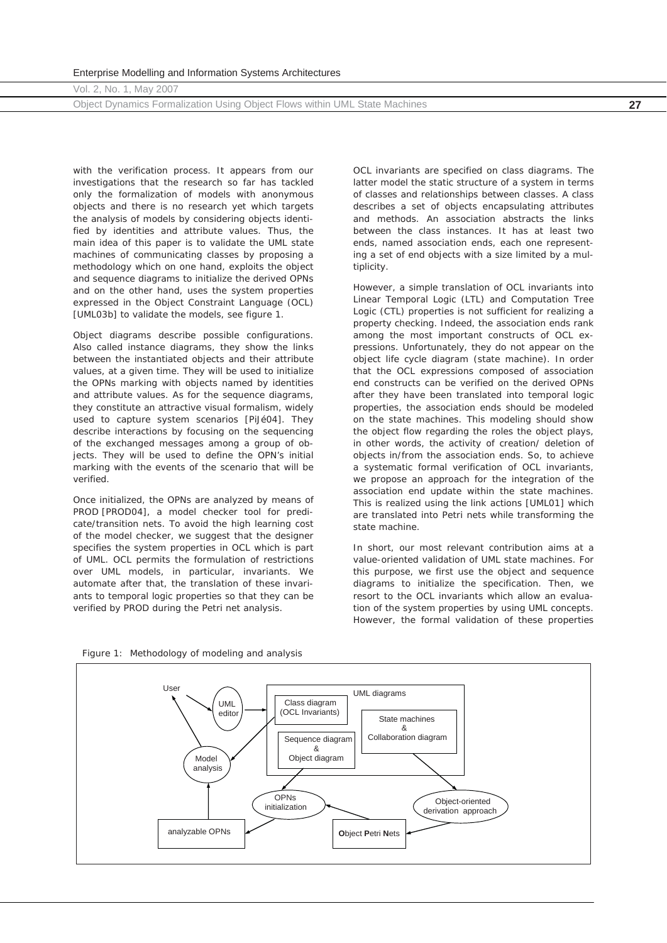Object Dynamics Formalization Using Object Flows within UML State Machines **27**

with the verification process. It appears from our investigations that the research so far has tackled only the formalization of models with anonymous objects and there is no research yet which targets the analysis of models by considering objects identified by identities and attribute values. Thus, the main idea of this paper is to validate the UML state machines of communicating classes by proposing a methodology which on one hand, exploits the object and sequence diagrams to initialize the derived OPNs and on the other hand, uses the system properties expressed in the Object Constraint Language (OCL) [UML03b] to validate the models, see figure 1.

Object diagrams describe possible configurations. Also called instance diagrams, they show the links between the instantiated objects and their attribute values, at a given time. They will be used to initialize the OPNs marking with objects named by identities and attribute values. As for the sequence diagrams, they constitute an attractive visual formalism, widely used to capture system scenarios [PiJé04]. They describe interactions by focusing on the sequencing of the exchanged messages among a group of objects. They will be used to define the *OPN*'s initial marking with the events of the scenario that will be verified.

Once initialized, the OPNs are analyzed by means of PROD [PROD04], a model checker tool for predicate/transition nets. To avoid the high learning cost of the model checker, we suggest that the designer specifies the system properties in OCL which is part of UML. OCL permits the formulation of restrictions over UML models, in particular, invariants. We automate after that, the translation of these invariants to temporal logic properties so that they can be verified by PROD during the Petri net analysis.

OCL invariants are specified on class diagrams. The latter model the static structure of a system in terms of classes and relationships between classes. A class describes a set of objects encapsulating attributes and methods. An association abstracts the links between the class instances. It has at least two ends, named association ends, each one representing a set of end objects with a size limited by a multiplicity.

However, a simple translation of OCL invariants into Linear Temporal Logic (LTL) and Computation Tree Logic (CTL) properties is not sufficient for realizing a property checking. Indeed, the association ends rank among the most important constructs of OCL expressions. Unfortunately, they do not appear on the object life cycle diagram (state machine). In order that the OCL expressions composed of association end constructs can be verified on the derived OPNs after they have been translated into temporal logic properties, the association ends should be modeled on the state machines. This modeling should show the object flow regarding the roles the object plays, in other words, the activity of creation/ deletion of objects in/from the association ends. So, to achieve a systematic formal verification of OCL invariants, we propose an approach for the integration of the association end update within the state machines. This is realized using the link actions [UML01] which are translated into Petri nets while transforming the state machine.

In short, our most relevant contribution aims at a value-oriented validation of UML state machines. For this purpose, we first use the object and sequence diagrams to initialize the specification. Then, we resort to the OCL invariants which allow an evaluation of the system properties by using UML concepts. However, the formal validation of these properties

*Figure 1: Methodology of modeling and analysis* 

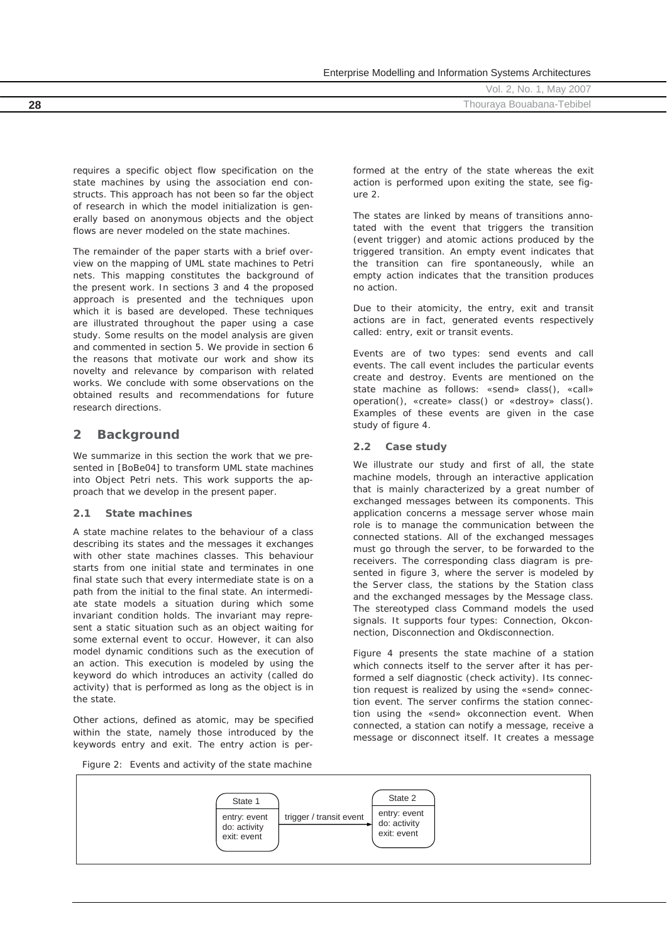|    | $\sim$ |                           |
|----|--------|---------------------------|
|    |        | Vol. 2, No. 1, May 2007   |
| 28 |        | Thouraya Bouabana-Tebibel |
|    |        |                           |

requires a specific object flow specification on the state machines by using the association end constructs. This approach has not been so far the object of research in which the model initialization is generally based on anonymous objects and the object flows are never modeled on the state machines.

The remainder of the paper starts with a brief overview on the mapping of UML state machines to Petri nets. This mapping constitutes the background of the present work. In sections 3 and 4 the proposed approach is presented and the techniques upon which it is based are developed. These techniques are illustrated throughout the paper using a case study. Some results on the model analysis are given and commented in section 5. We provide in section 6 the reasons that motivate our work and show its novelty and relevance by comparison with related works. We conclude with some observations on the obtained results and recommendations for future research directions.

# **2 Background**

We summarize in this section the work that we presented in [BoBe04] to transform UML state machines into Object Petri nets. This work supports the approach that we develop in the present paper.

# **2.1 State machines**

A state machine relates to the behaviour of a class describing its states and the messages it exchanges with other state machines classes. This behaviour starts from one initial state and terminates in one final state such that every intermediate state is on a path from the initial to the final state. An intermediate state models a situation during which some invariant condition holds. The invariant may represent a static situation such as an object waiting for some external event to occur. However, it can also model dynamic conditions such as the execution of an action. This execution is modeled by using the keyword *do* which introduces an activity (called *do activity*) that is performed as long as the object is in the state.

Other actions, defined as atomic, may be specified within the state, namely those introduced by the keywords *entry* and *exit*. The entry action is performed at the entry of the state whereas the exit action is performed upon exiting the state, see figure 2.

Enterprise Modelling and Information Systems Architectures

The states are linked by means of transitions annotated with the event that triggers the transition (event trigger) and atomic actions produced by the triggered transition. An empty event indicates that the transition can fire spontaneously, while an empty action indicates that the transition produces no action.

Due to their atomicity, the entry, exit and transit actions are in fact, generated events respectively called: *entry*, *exit* or *transit* events.

Events are of two types: *send* events and *call* events. The *call* event includes the particular events *create* and *destroy*. Events are mentioned on the state machine as follows: *«send» class(), «call» operation(), «create» class()* or *«destroy» class()*. Examples of these events are given in the case study of figure 4.

# **2.2 Case study**

We illustrate our study and first of all, the state machine models, through an interactive application that is mainly characterized by a great number of exchanged messages between its components. This application concerns a message server whose main role is to manage the communication between the connected stations. All of the exchanged messages must go through the server, to be forwarded to the receivers. The corresponding class diagram is presented in figure 3, where the server is modeled by the *Server* class, the stations by the *Station* class and the exchanged messages by the *Message* class. The stereotyped class *Command* models the used signals. It supports four types: *Connection*, *Okconnection*, *Disconnection* and *Okdisconnection*.

Figure 4 presents the state machine of a station which connects itself to the server after it has performed a self diagnostic (*check* activity). Its connection request is realized by using the *«send» connection* event. The server confirms the station connection using the *«send» okconnection* event. When connected, a station can notify a message, receive a message or disconnect itself. It creates a message

*Figure 2: Events and activity of the state machine* 

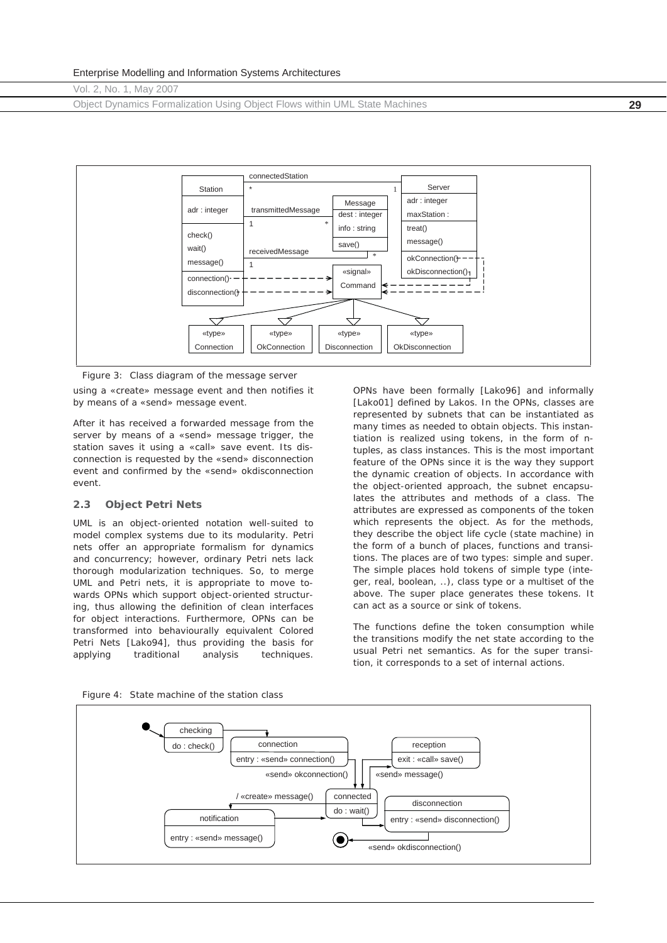Object Dynamics Formalization Using Object Flows within UML State Machines **29**



using a *«create» message* event and then notifies it by means of a *«send» message* event. *Figure 3: Class diagram of the message server* 

After it has received a forwarded message from the server by means of a *«send» message* trigger, the station saves it using a *«call» save* event. Its disconnection is requested by the *«send» disconnection* event and confirmed by the *«send» okdisconnection* event.

#### **2.3 Object Petri Nets**

UML is an object-oriented notation well-suited to model complex systems due to its modularity. Petri nets offer an appropriate formalism for dynamics and concurrency; however, ordinary Petri nets lack thorough modularization techniques. So, to merge UML and Petri nets, it is appropriate to move towards OPNs which support object-oriented structuring, thus allowing the definition of clean interfaces for object interactions. Furthermore, OPNs can be transformed into behaviourally equivalent Colored Petri Nets [Lako94], thus providing the basis for applying traditional analysis techniques.

OPNs have been formally [Lako96] and informally [Lako01] defined by Lakos. In the OPNs, classes are represented by subnets that can be instantiated as many times as needed to obtain objects. This instantiation is realized using tokens, in the form of ntuples, as class instances. This is the most important feature of the OPNs since it is the way they support the dynamic creation of objects. In accordance with the object-oriented approach, the subnet encapsulates the attributes and methods of a class. The attributes are expressed as components of the token which represents the object. As for the methods, they describe the object life cycle (state machine) in the form of a bunch of places, functions and transitions. The places are of two types: simple and super. The simple places hold tokens of simple type (integer, real, boolean, ..), class type or a multiset of the above. The super place generates these tokens. It can act as a source or sink of tokens.

The functions define the token consumption while the transitions modify the net state according to the usual Petri net semantics. As for the super transition, it corresponds to a set of internal actions.



*Figure 4: State machine of the station class*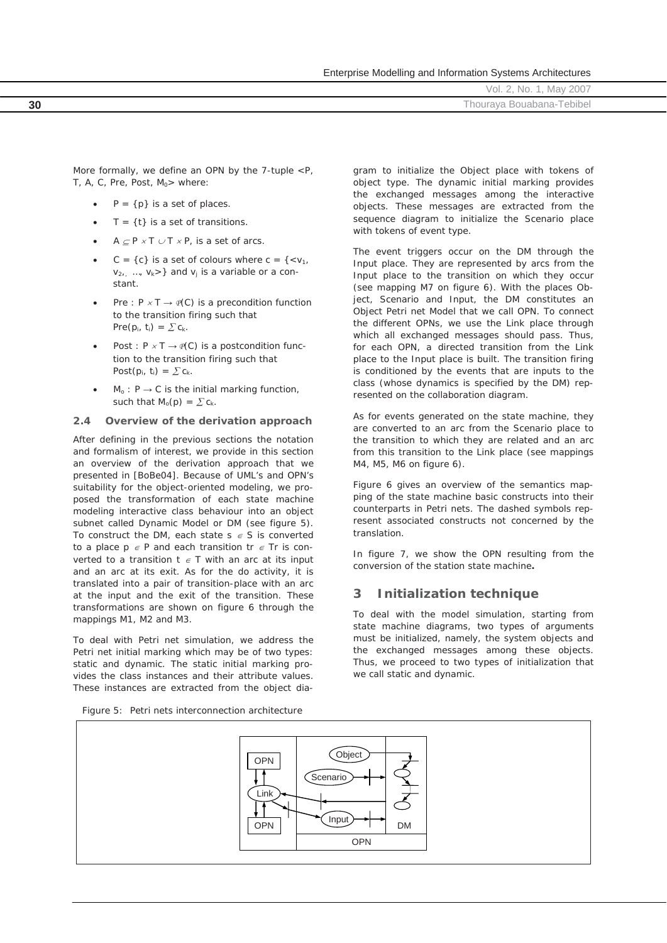| Enterprise Modelling and Information Systems Architectures |  |  |  |  |  |
|------------------------------------------------------------|--|--|--|--|--|
|------------------------------------------------------------|--|--|--|--|--|

|    | May 2007<br>Νo<br>OI.            |
|----|----------------------------------|
| 30 | $-$<br>Thourava Bouabana-Tebibel |
|    |                                  |

More formally, we define an OPN by the 7-tuple *<P, T, A, C, Pre, Post, M<sub>0</sub>>* where:

- $P = \{p\}$  is a set of places.
- $T = \{t\}$  is a set of transitions.
- $A \subset P \times T \cup T \times P$ , is a set of arcs.
- $C = \{c\}$  is a set of colours where  $c = \{$  $v_{2}, \ldots, v_k$ >} and  $v_j$  is a variable or a constant.
- *Pre : P x T*  $\rightarrow$  $P(C)$  *is a precondition function* to the transition firing such that  $Pre(p_i, t_i) = \sum c_k$ .
- *Post : P x T*  $\rightarrow$  $P(C)$  *is a postcondition func*tion to the transition firing such that *Post* $(p_i, t_i) = \sum c_k$ .
- $M_0$ :  $P \rightarrow C$  is the initial marking function, such that  $M_o(p) = \sum c_k$ .

# **2.4 Overview of the derivation approach**

After defining in the previous sections the notation and formalism of interest, we provide in this section an overview of the derivation approach that we presented in [BoBe04]. Because of UML's and OPN's suitability for the object-oriented modeling, we proposed the transformation of each state machine modeling interactive class behaviour into an object subnet called Dynamic Model or *DM* (see figure 5). To construct the *DM*, each state  $s \in S$  is converted to a place  $p \in P$  and each transition  $tr \in Tr$  is converted to a transition  $t \in T$  with an arc at its input and an arc at its exit. As for the *do activity*, it is translated into a pair of transition-place with an arc at the input and the exit of the transition. These transformations are shown on figure 6 through the mappings M1, M2 and M3.

To deal with Petri net simulation, we address the Petri net initial marking which may be of two types: static and dynamic. The static initial marking provides the class instances and their attribute values. These instances are extracted from the object diagram to initialize the *Object* place with tokens of *object* type. The dynamic initial marking provides the exchanged messages among the interactive objects. These messages are extracted from the sequence diagram to initialize the *Scenario* place with tokens of *event* type.

The event triggers occur on the *DM* through the *Input* place. They are represented by arcs from the *Input* place to the transition on which they occur (see mapping M7 on figure 6). With the places *Object*, *Scenario* and *Input*, the *DM* constitutes an Object Petri net Model that we call *OPN*. To connect the different *OPNs*, we use the *Link* place through which all exchanged messages should pass. Thus, for each *OPN*, a directed transition from the *Link* place to the *Input* place is built. The transition firing is conditioned by the events that are inputs to the class (whose dynamics is specified by the *DM*) represented on the collaboration diagram.

As for events generated on the state machine, they are converted to an arc from the *Scenario* place to the transition to which they are related and an arc from this transition to the *Link* place (see mappings M4, M5, M6 on figure 6).

Figure 6 gives an overview of the semantics mapping of the state machine basic constructs into their counterparts in Petri nets. The dashed symbols represent associated constructs not concerned by the translation.

In figure 7, we show the *OPN* resulting from the conversion of the *station* state machine**.** 

# **3 Initialization technique**

To deal with the model simulation, starting from state machine diagrams, two types of arguments must be initialized, namely, the system objects and the exchanged messages among these objects. Thus, we proceed to two types of initialization that we call static and dynamic.

*Figure 5: Petri nets interconnection architecture* 

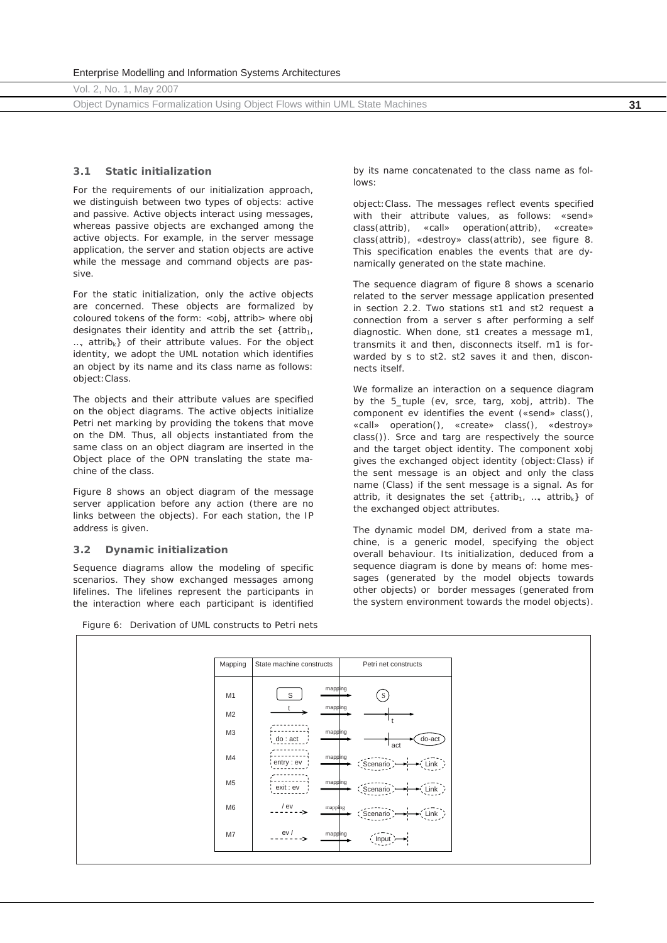Object Dynamics Formalization Using Object Flows within UML State Machines **31**

# **3.1 Static initialization**

For the requirements of our initialization approach, we distinguish between two types of objects: active and passive. Active objects interact using messages, whereas passive objects are exchanged among the active objects. For example, in the server message application, the *server* and *station* objects are active while the *message* and *command* objects are passive.

For the static initialization, only the active objects are concerned. These objects are formalized by coloured tokens of the form: <*obj, attrib*> where *obj* designates their identity and *attrib* the set {*attrib1, …, attribk*} of their attribute values. For the object identity, we adopt the UML notation which identifies an object by its name and its class name as follows: *object:Class*.

The objects and their attribute values are specified on the object diagrams. The active objects initialize Petri net marking by providing the tokens that move on the *DM*. Thus, all objects instantiated from the same class on an object diagram are inserted in the *Object* place of the *OPN* translating the state machine of the class.

Figure 8 shows an object diagram of the message server application before any action (there are no links between the objects). For each station, the IP address is given.

# **3.2 Dynamic initialization**

Sequence diagrams allow the modeling of specific scenarios. They show exchanged messages among lifelines. The lifelines represent the participants in the interaction where each participant is identified

*Figure 6: Derivation of UML constructs to Petri nets* 

by its name concatenated to the class name as follows:

*object:Class*. The messages reflect events specified with their attribute values, as follows: *«send» class(attrib), «call» operation(attrib)*, *«create» class(attrib), «destroy» class(attrib),* see figure 8. This specification enables the events that are dynamically generated on the state machine.

The sequence diagram of figure 8 shows a scenario related to the server message application presented in section 2.2. Two stations *st1* and *st2* request a connection from a server *s* after performing a self diagnostic. When done, *st1* creates a message *m1*, transmits it and then, disconnects itself. *m1* is forwarded by *s* to *st2*. *st2* saves it and then, disconnects itself.

We formalize an interaction on a sequence diagram by the 5\_tuple (*ev, srce, targ, xobj, attrib*). The component *ev* identifies the event *(«send» class(), «call» operation(), «create» class(), «destroy» class()*). *Srce* and *targ* are respectively the source and the target object identity. The component *xobj*  gives the exchanged object identity (*object:Class*) if the sent message is an object and only the class name (*Class*) if the sent message is a signal. As for *attrib*, it designates the set {*attrib1, …, attribk*} of the exchanged object attributes.

The dynamic model *DM*, derived from a state machine, is a generic model, specifying the object overall behaviour. Its initialization, deduced from a sequence diagram is done by means of: home messages (generated by the model objects towards other objects) or border messages (generated from the system environment towards the model objects).

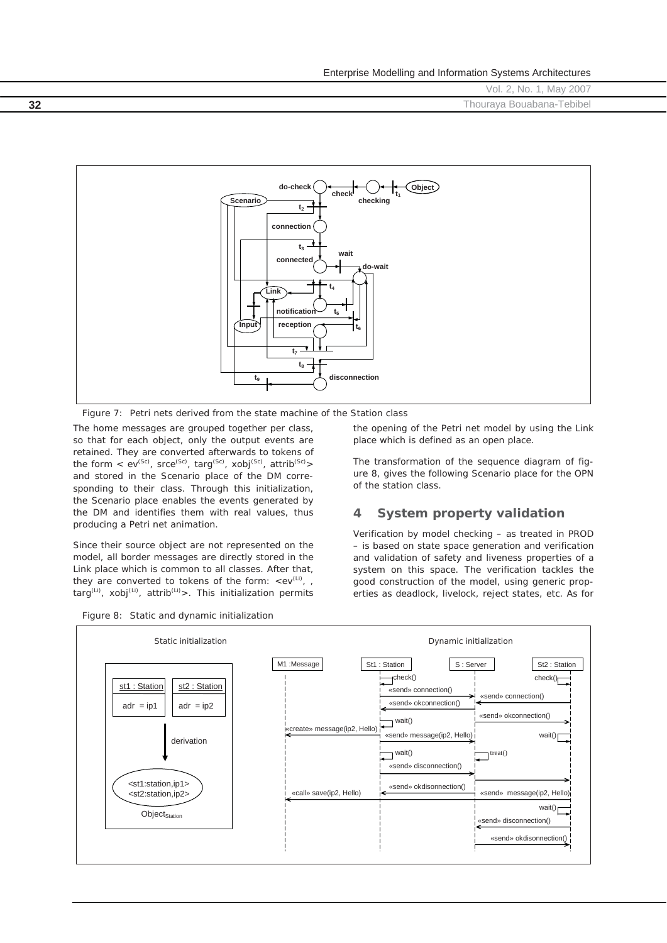Vol. 2, No. 1, May 2007 **32** Thouraya Bouabana-Tebibel



*Figure 7: Petri nets derived from the state machine of the Station class* 

The home messages are grouped together per class, so that for each object, only the output events are retained. They are converted afterwards to tokens of the form  $\langle e^{iSc} \rangle$ , srce<sup>(Sc)</sup>, targ<sup>(Sc)</sup>, xobj<sup>(Sc)</sup>, attrib<sup>(Sc)</sup>> and stored in the *Scenario* place of the *DM* corresponding to their class. Through this initialization, the *Scenario* place enables the events generated by the *DM* and identifies them with real values, thus producing a Petri net animation.

Since their source object are not represented on the model, all border messages are directly stored in the *Link* place which is common to all classes. After that, they are converted to tokens of the form:  $\langle e^{iU} \rangle$ , *targ(Li), xobj(Li), attrib(Li)>*. This initialization permits



the opening of the Petri net model by using the *Link*  place which is defined as an *open* place.

The transformation of the sequence diagram of figure 8, gives the following *Scenario* place for the *OPN* of the *station* class.

# **4 System property validation**

Verification by model checking – as treated in PROD – is based on state space generation and verification and validation of safety and liveness properties of a system on this space. The verification tackles the good construction of the model, using generic properties as deadlock, livelock, reject states, etc. As for

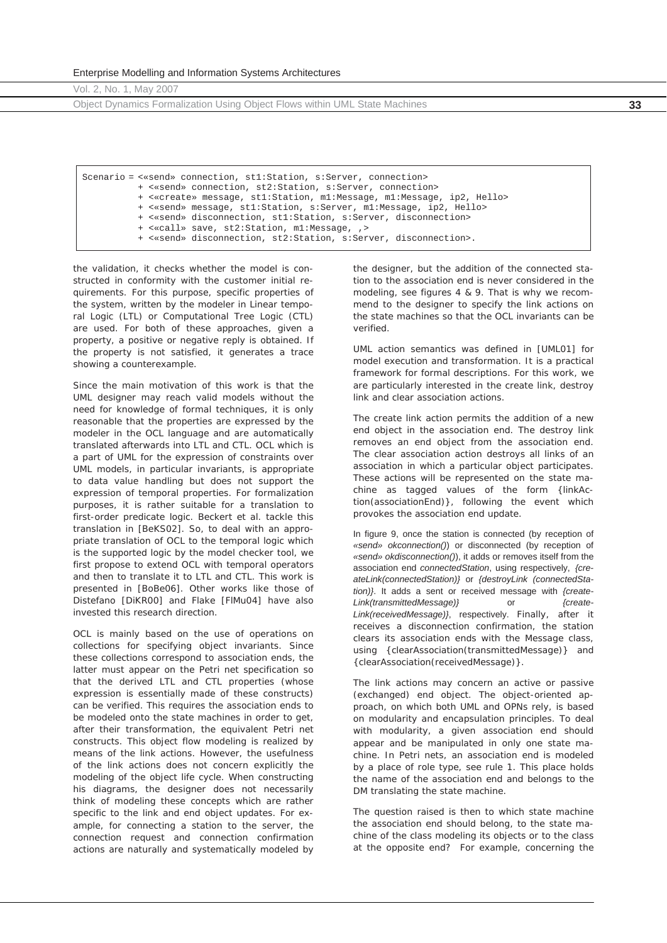Enterprise Modelling and Information Systems Architectures

Vol. 2, No. 1, May 2007

Object Dynamics Formalization Using Object Flows within UML State Machines **33**

Scenario = <«send» connection, st1:Station, s:Server, connection> + <«send» connection, st2:Station, s:Server, connection> + <«create» message, st1:Station, m1:Message, m1:Message, ip2, Hello> + <«send» message, st1:Station, s:Server, m1:Message, ip2, Hello> + <«send» disconnection, st1:Station, s:Server, disconnection> + <«call» save, st2:Station, m1:Message, ,> + <«send» disconnection, st2:Station, s:Server, disconnection>.

the validation, it checks whether the model is constructed in conformity with the customer initial requirements. For this purpose, specific properties of the system, written by the modeler in Linear temporal Logic (LTL) or Computational Tree Logic (CTL) are used. For both of these approaches, given a property, a positive or negative reply is obtained. If the property is not satisfied, it generates a trace showing a counterexample.

Since the main motivation of this work is that the UML designer may reach valid models without the need for knowledge of formal techniques, it is only reasonable that the properties are expressed by the modeler in the OCL language and are automatically translated afterwards into LTL and CTL. OCL which is a part of UML for the expression of constraints over UML models, in particular invariants, is appropriate to data value handling but does not support the expression of temporal properties. For formalization purposes, it is rather suitable for a translation to first-order predicate logic. Beckert et al. tackle this translation in [BeKS02]. So, to deal with an appropriate translation of OCL to the temporal logic which is the supported logic by the model checker tool, we first propose to extend OCL with temporal operators and then to translate it to LTL and CTL. This work is presented in [BoBe06]. Other works like those of Distefano [DiKR00] and Flake [FlMu04] have also invested this research direction.

OCL is mainly based on the use of operations on collections for specifying object invariants. Since these collections correspond to association ends, the latter must appear on the Petri net specification so that the derived LTL and CTL properties (whose expression is essentially made of these constructs) can be verified. This requires the association ends to be modeled onto the state machines in order to get, after their transformation, the equivalent Petri net constructs. This object flow modeling is realized by means of the link actions. However, the usefulness of the link actions does not concern explicitly the modeling of the object life cycle. When constructing his diagrams, the designer does not necessarily think of modeling these concepts which are rather specific to the link and end object updates. For example, for connecting a station to the server, the connection request and connection confirmation actions are naturally and systematically modeled by

the designer, but the addition of the connected station to the association end is never considered in the modeling, see figures 4 & 9. That is why we recommend to the designer to specify the link actions on the state machines so that the OCL invariants can be verified.

UML action semantics was defined in [UML01] for model execution and transformation. It is a practical framework for formal descriptions. For this work, we are particularly interested in the create link, destroy link and clear association actions.

The create link action permits the addition of a new end object in the association end. The destroy link removes an end object from the association end. The clear association action destroys all links of an association in which a particular object participates. These actions will be represented on the state machine as tagged values of the form *{linkAction(associationEnd)}*, following the event which provokes the association end update.

In figure 9, once the station is connected (by reception of *«send» okconnection()*) or disconnected (by reception of *«send» okdisconnection()*), it adds or removes itself from the association end *connectedStation*, using respectively, *{createLink(connectedStation)}* or *{destroyLink (connectedStation)}*. It adds a sent or received message with *{create-Link(transmittedMessage)}* or *{create-Link(receivedMessage)}*, respectively. Finally, after it receives a disconnection confirmation, the station clears its association ends with the *Message* class, using *{clearAssociation(transmittedMessage)} and {clearAssociation(receivedMessage)}*.

The link actions may concern an active or passive (exchanged) end object. The object-oriented approach, on which both UML and OPNs rely, is based on modularity and encapsulation principles. To deal with modularity, a given association end should appear and be manipulated in only one state machine. In Petri nets, an association end is modeled by a place of *role* type, see rule 1. This place holds the name of the association end and belongs to the *DM* translating the state machine.

The question raised is then to which state machine the association end should belong, to the state machine of the class modeling its objects or to the class at the opposite end? For example, concerning the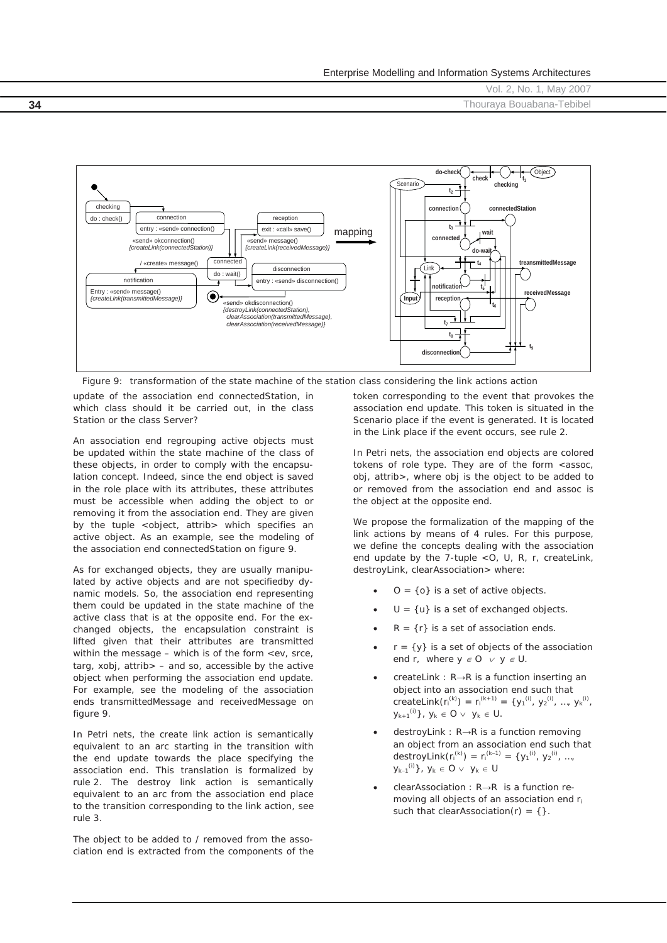**34** Thouraya Bouabana-Tebibel



*Figure 9: transformation of the state machine of the station class considering the link actions action* 

update of the association end connectedStation, in which class should it be carried out, in the class Station or the class Server?

An association end regrouping active objects must be updated within the state machine of the class of these objects, in order to comply with the encapsulation concept. Indeed, since the end object is saved in the role place with its attributes, these attributes must be accessible when adding the object to or removing it from the association end. They are given by the tuple *<object, attrib>* which specifies an active object. As an example, see the modeling of the association end *connectedStation* on figure 9.

As for exchanged objects, they are usually manipulated by active objects and are not specifiedby dynamic models. So, the association end representing them could be updated in the state machine of the active class that is at the opposite end. For the exchanged objects, the encapsulation constraint is lifted given that their attributes are transmitted within the message – which is of the form *<ev, srce, targ, xobj, attrib>* – and so, accessible by the active object when performing the association end update. For example, see the modeling of the association ends *transmittedMessage* and *receivedMessage* on figure 9.

In Petri nets, the create link action is semantically equivalent to an arc starting in the transition with the end update towards the place specifying the association end. This translation is formalized by rule 2. The destroy link action is semantically equivalent to an arc from the association end place to the transition corresponding to the link action, see rule 3.

The object to be added to / removed from the association end is extracted from the components of the token corresponding to the event that provokes the association end update. This token is situated in the *Scenario* place if the event is generated. It is located in the *Link* place if the event occurs, see rule 2.

In Petri nets, the association end objects are colored tokens of *role* type. They are of the form <*assoc*, *obj*, *attrib*>, where *obj* is the object to be added to or removed from the association end and *assoc* is the object at the opposite end.

We propose the formalization of the mapping of the link actions by means of 4 rules. For this purpose, we define the concepts dealing with the association end update by the 7-tuple <*O, U, R, r, createLink, destroyLink, clearAssociation*> where:

- $O = \{o\}$  is a set of active objects.
- $U = \{u\}$  is a set of exchanged objects.
- $R = \{r\}$  is a set of association ends.
- $r = \{y\}$  is a set of objects of the association end *r*, where  $y \in O$   $\vee$   $y \in U$ .
- createLink : R→R is a function inserting an object into an association end such that createLink(r<sub>i</sub><sup>(k)</sup>) = r<sub>i</sub><sup>(k+1)</sup> = {y<sub>1</sub><sup>(i)</sup>, y<sub>2</sub><sup>(i)</sup>, ..., y<sub>k</sub><sup>(i)</sup>,  $\label{eq:1} y_{k+1}^{(i)}\}\,,\;y_k\,\in\,O\,\vee\;\;y_k\,\in\,U.$
- destroyLink : R→R is a function removing an object from an association end such that destroyLink $(r_i^{(k)}) = r_i^{(k-1)} = \{y_1^{(i)}, y_2^{(i)}, ...,$  $y_{k-1}^{(i)}\}$ ,  $y_k \in O \vee y_k \in U$
- *clearAssociation : R→R* is a function removing all objects of an association end *ri* such that *clearAssociation(r) = {}.*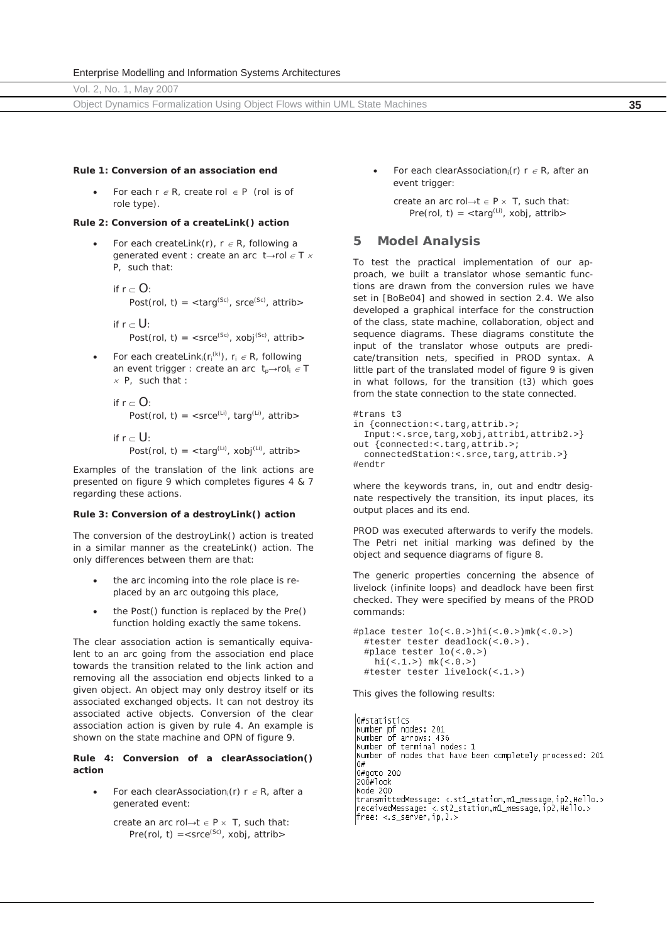Object Dynamics Formalization Using Object Flows within UML State Machines **35**

### **Rule 1: Conversion of an association end**

For each  $r \in R$ , create  $rol \in P$  (rol is of role type).

## **Rule 2: Conversion of a createLink() action**

- For each *createLink(r),*  $r \in R$ *,* following a generated event : create an arc  $t \rightarrow$ rol  $\in T \times$ *P,* such that:
	- if  $r \subset O$ : Post(rol, t) =  $\times$ targ<sup>(Sc)</sup>, srce<sup>(Sc)</sup>, attrib>

if  $r \subset U$ : Post(rol, t) =  $\langle$ srce<sup>(Sc)</sup>, xobj<sup>(Sc)</sup>, attrib>

- For each *createLink<sub>i</sub>*( $r_i^{(k)}$ ),  $r_i \in R$ , following an event trigger : create an arc  $t_p \rightarrow \text{rol}_i \in T$  $x$  *P*, such that :
	- if  $r \subset O$ : Post(rol, t) =  $\langle$ srce<sup>(Li)</sup>, targ<sup>(Li)</sup>, attrib>
	- if  $r \n\subset U$ : Post(rol, t) =  $\langle \text{targ}^{(L)} \rangle$ , xobj $^{(Li)}$ , attrib $>$

Examples of the translation of the link actions are presented on figure 9 which completes figures 4 & 7 regarding these actions.

#### **Rule 3: Conversion of a destroyLink() action**

The conversion of the *destroyLink()* action is treated in a similar manner as the *createLink()* action. The only differences between them are that:

- the arc incoming into the role place is replaced by an arc outgoing this place,
- x the *Post()* function is replaced by the *Pre()* function holding exactly the same tokens.

The clear association action is semantically equivalent to an arc going from the association end place towards the transition related to the link action and removing all the association end objects linked to a given object. An object may only destroy itself or its associated exchanged objects. It can not destroy its associated active objects. Conversion of the clear association action is given by rule 4. An example is shown on the state machine and *OPN* of figure 9.

# **Rule 4: Conversion of a clearAssociation() action**

- For each *clearAssociation<sub>i</sub>(r)*  $r \in R$ , after a generated event:
	- create an arc rol $\rightarrow$ t  $\in$  P  $\times$  T, such that: Pre(rol, t) =  $\langle$  srce<sup>(Sc)</sup>, xobi, attrib $>$

For each *clearAssociation*<sub>i</sub> $(r)$   $r \in R$ , after an event trigger:

create an arc rol $\rightarrow$ t  $\in$  P  $\times$  T, such that: Pre(rol, t) =  $\langle \text{targ}^{(Li)} \rangle$ , xobj, attrib>

# **5 Model Analysis**

To test the practical implementation of our approach, we built a translator whose semantic functions are drawn from the conversion rules we have set in [BoBe04] and showed in section 2.4. We also developed a graphical interface for the construction of the class, state machine, collaboration, object and sequence diagrams. These diagrams constitute the input of the translator whose outputs are predicate/transition nets, specified in PROD syntax. A little part of the translated model of figure 9 is given in what follows, for the transition (*t3*) which goes from the state *connection* to the state *connected.*

```
#trans t3 
in {connection:<.targ,attrib.>;
  Input:<.srce,targ,xobj,attrib1,attrib2.>} 
out {connected:<.targ,attrib.>;
 connectedStation:<.srce,targ,attrib.>}
#endtr
```
where the keywords *trans, in, out* and *endtr* designate respectively the transition, its input places, its output places and its end.

PROD was executed afterwards to verify the models. The Petri net initial marking was defined by the object and sequence diagrams of figure 8.

The generic properties concerning the absence of livelock (infinite loops) and deadlock have been first checked. They were specified by means of the PROD commands:

```
#place tester lo(<.0.>)hi(<.0.>)mk(<.0.>) 
   #tester tester deadlock(<.0.>). 
   #place tester lo(<.0.>) 
   hi(<.1.>) mk(<.0.>) #tester tester livelock(<.1.>)
```
This gives the following results:

h#statistics 0#statistics<br>|Number pf nodes: 201<br>|Number of arrows: 436<br>|Number of terminal nodes: 1<br>|Number of nodes that have been completely processed: 201<br>|0# 0#goto 200 200#look Node 200 htour\_intedMessage: <.st1\_station,m1\_message.ip2.Hello.><br>|receivedMessage: <.st2\_station,m1\_message,ip2,Hello.><br>|free: <.s\_server,ip,2.>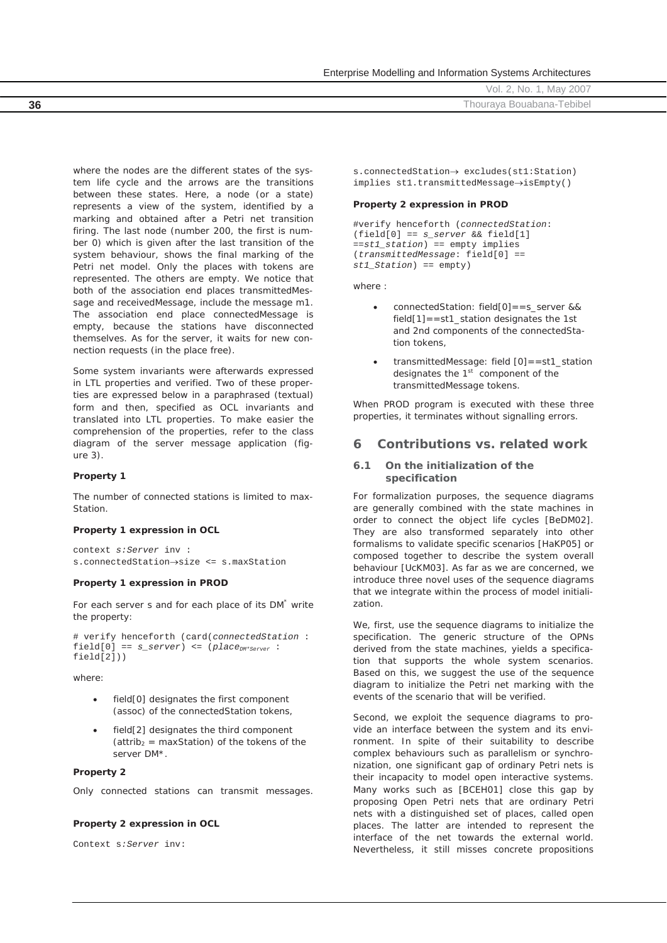Vol. 2, No. 1, May 2007 **36** Thouraya Bouabana-Tebibel

where the nodes are the different states of the system life cycle and the arrows are the transitions between these states. Here, a node (or a state) represents a view of the system, identified by a marking and obtained after a Petri net transition firing. The last node (number 200, the first is number 0) which is given after the last transition of the system behaviour, shows the final marking of the Petri net model. Only the places with tokens are represented. The others are empty. We notice that both of the association end places *transmittedMessage* and r*eceivedMessage*, include the message m1. The association end place *connectedMessage* is empty, because the stations have disconnected themselves. As for the server, it waits for new connection requests (in the place free).

Some system invariants were afterwards expressed in LTL properties and verified. Two of these properties are expressed below in a paraphrased (textual) form and then, specified as OCL invariants and translated into LTL properties. To make easier the comprehension of the properties, refer to the class diagram of the server message application (figure 3).

#### **Property 1**

The number of connected stations is limited to max-**Station** 

#### **Property 1 expression in OCL**

context *s:Server* inv : s.connectedStation->size <= s.maxStation

#### **Property 1 expression in PROD**

For each server s and for each place of its *DM\** write the property:

# verify henceforth (card(*connectedStation* : field[0] == *s\_server*) <= (*placeDM\*Server* : field[2]))

where:

- field[0] designates the first component (*assoc*) of the *connectedStation* tokens,
- field[2] designates the third component (attrib<sub>2</sub> =  $maxStation$ ) of the tokens of the server *DM\**.

# **Property 2**

Only connected stations can transmit messages.

#### **Property 2 expression in OCL**

Context s*:Server* inv:

 $s.\text{connectedStation} \rightarrow \text{excludes}(\text{st1:Station})$  $implies$  stl.transmittedMessage $\rightarrow$ isEmpty()

# **Property 2 expression in PROD**

#verify henceforth (*connectedStation*: (field[0] == *s\_server* && field[1] ==*st1\_station*) == empty implies (*transmittedMessage*: field[0] == *st1\_Station*) == empty)

where :

- x connectedStation: field[0]==s\_server && field[1]==st1\_station designates the 1st and 2nd components of the connectedStation tokens,
- x transmittedMessage: field [0]==st1\_station designates the  $1<sup>st</sup>$  component of the *transmittedMessage* tokens.

When PROD program is executed with these three properties, it terminates without signalling errors.

# **6 Contributions vs. related work**

## **6.1 On the initialization of the specification**

For formalization purposes, the sequence diagrams are generally combined with the state machines in order to connect the object life cycles [BeDM02]. They are also transformed separately into other formalisms to validate specific scenarios [HaKP05] or composed together to describe the system overall behaviour [UcKM03]. As far as we are concerned, we introduce three novel uses of the sequence diagrams that we integrate within the process of model initialization.

We, first, use the sequence diagrams to initialize the specification. The generic structure of the OPNs derived from the state machines, yields a specification that supports the whole system scenarios. Based on this, we suggest the use of the sequence diagram to initialize the Petri net marking with the events of the scenario that will be verified.

Second, we exploit the sequence diagrams to provide an interface between the system and its environment. In spite of their suitability to describe complex behaviours such as parallelism or synchronization, one significant gap of ordinary Petri nets is their incapacity to model open interactive systems. Many works such as [BCEH01] close this gap by proposing Open Petri nets that are ordinary Petri nets with a distinguished set of places, called open places. The latter are intended to represent the interface of the net towards the external world. Nevertheless, it still misses concrete propositions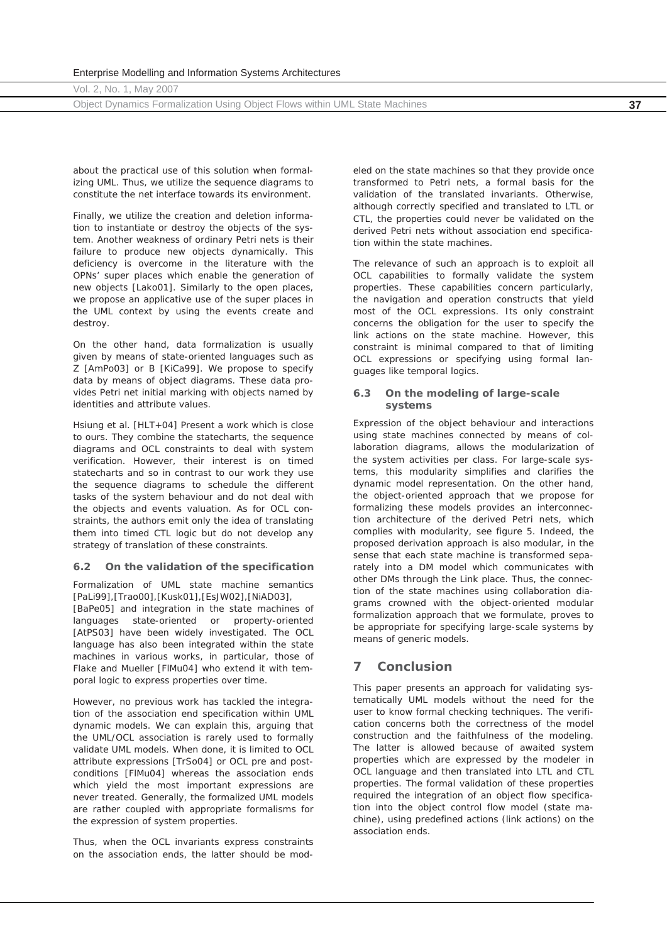|  |  |  | Vol. 2, No. 1, May 2007 |  |  |
|--|--|--|-------------------------|--|--|
|  |  |  |                         |  |  |

Object Dynamics Formalization Using Object Flows within UML State Machines **37**

about the practical use of this solution when formalizing UML. Thus, we utilize the sequence diagrams to constitute the net interface towards its environment.

Finally, we utilize the creation and deletion information to instantiate or destroy the objects of the system. Another weakness of ordinary Petri nets is their failure to produce new objects dynamically. This deficiency is overcome in the literature with the OPNs' super places which enable the generation of new objects [Lako01]. Similarly to the open places, we propose an applicative use of the super places in the UML context by using the events *create* and *destroy*.

On the other hand, data formalization is usually given by means of state-oriented languages such as Z [AmPo03] or B [KiCa99]. We propose to specify data by means of object diagrams. These data provides Petri net initial marking with objects named by identities and attribute values.

Hsiung et al. [HLT+04] Present a work which is close to ours. They combine the statecharts, the sequence diagrams and OCL constraints to deal with system verification. However, their interest is on timed statecharts and so in contrast to our work they use the sequence diagrams to schedule the different tasks of the system behaviour and do not deal with the objects and events valuation. As for OCL constraints, the authors emit only the idea of translating them into timed CTL logic but do not develop any strategy of translation of these constraints.

# **6.2 On the validation of the specification**

Formalization of UML state machine semantics [PaLi99],[Trao00],[Kusk01],[EsJW02],[NiAD03],

[BaPe05] and integration in the state machines of languages state-oriented or property-oriented [AtPS03] have been widely investigated. The OCL language has also been integrated within the state machines in various works, in particular, those of Flake and Mueller [FlMu04] who extend it with temporal logic to express properties over time.

However, no previous work has tackled the integration of the association end specification within UML dynamic models. We can explain this, arguing that the UML/OCL association is rarely used to formally validate UML models. When done, it is limited to OCL attribute expressions [TrSo04] or OCL pre and postconditions [FlMu04] whereas the association ends which yield the most important expressions are never treated. Generally, the formalized UML models are rather coupled with appropriate formalisms for the expression of system properties.

Thus, when the OCL invariants express constraints on the association ends, the latter should be modeled on the state machines so that they provide once transformed to Petri nets, a formal basis for the validation of the translated invariants. Otherwise, although correctly specified and translated to LTL or CTL, the properties could never be validated on the derived Petri nets without association end specification within the state machines.

The relevance of such an approach is to exploit all OCL capabilities to formally validate the system properties. These capabilities concern particularly, the navigation and operation constructs that yield most of the OCL expressions. Its only constraint concerns the obligation for the user to specify the link actions on the state machine. However, this constraint is minimal compared to that of limiting OCL expressions or specifying using formal languages like temporal logics.

# **6.3 On the modeling of large-scale systems**

Expression of the object behaviour and interactions using state machines connected by means of collaboration diagrams, allows the modularization of the system activities per class. For large-scale systems, this modularity simplifies and clarifies the dynamic model representation. On the other hand, the object-oriented approach that we propose for formalizing these models provides an interconnection architecture of the derived Petri nets, which complies with modularity, see figure 5. Indeed, the proposed derivation approach is also modular, in the sense that each state machine is transformed separately into a *DM* model which communicates with other *DMs* through the *Link* place. Thus, the connection of the state machines using collaboration diagrams crowned with the object-oriented modular formalization approach that we formulate, proves to be appropriate for specifying large-scale systems by means of generic models.

# **7 Conclusion**

This paper presents an approach for validating systematically UML models without the need for the user to know formal checking techniques. The verification concerns both the correctness of the model construction and the faithfulness of the modeling. The latter is allowed because of awaited system properties which are expressed by the modeler in OCL language and then translated into LTL and CTL properties. The formal validation of these properties required the integration of an object flow specification into the object control flow model (state machine), using predefined actions (link actions) on the association ends.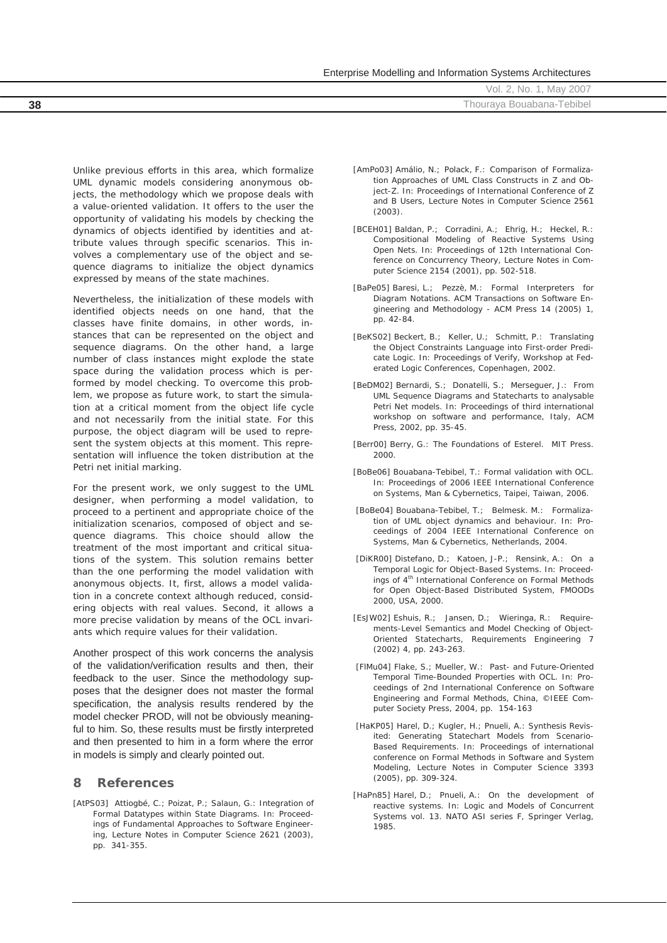|  |  | Enterprise Modelling and Information Systems Architectures |
|--|--|------------------------------------------------------------|
|  |  |                                                            |

**38 18** Thouraya Bouabana-Tebibel

Unlike previous efforts in this area, which formalize UML dynamic models considering anonymous objects, the methodology which we propose deals with a value-oriented validation. It offers to the user the opportunity of validating his models by checking the dynamics of objects identified by identities and attribute values through specific scenarios. This involves a complementary use of the object and sequence diagrams to initialize the object dynamics expressed by means of the state machines.

Nevertheless, the initialization of these models with identified objects needs on one hand, that the classes have finite domains, in other words, instances that can be represented on the object and sequence diagrams. On the other hand, a large number of class instances might explode the state space during the validation process which is performed by model checking. To overcome this problem, we propose as future work, to start the simulation at a critical moment from the object life cycle and not necessarily from the initial state. For this purpose, the object diagram will be used to represent the system objects at this moment. This representation will influence the token distribution at the Petri net initial marking.

For the present work, we only suggest to the UML designer, when performing a model validation, to proceed to a pertinent and appropriate choice of the initialization scenarios, composed of object and sequence diagrams. This choice should allow the treatment of the most important and critical situations of the system. This solution remains better than the one performing the model validation with anonymous objects. It, first, allows a model validation in a concrete context although reduced, considering objects with real values. Second, it allows a more precise validation by means of the OCL invariants which require values for their validation.

Another prospect of this work concerns the analysis of the validation/verification results and then, their feedback to the user. Since the methodology supposes that the designer does not master the formal specification, the analysis results rendered by the model checker PROD, will not be obviously meaningful to him. So, these results must be firstly interpreted and then presented to him in a form where the error in models is simply and clearly pointed out.

# **8 References**

[AtPS03] Attiogbé, C.; Poizat, P.; Salaun, G.: Integration of Formal Datatypes within State Diagrams. In: Proceedings of Fundamental Approaches to Software Engineering, Lecture Notes in Computer Science 2621 (2003), pp. 341-355.

- [AmPo03] Amálio, N.; Polack, F.: Comparison of Formalization Approaches of UML Class Constructs in Z and Object-Z. In: Proceedings of International Conference of Z and B Users, Lecture Notes in Computer Science 2561 (2003).
- [BCEH01] Baldan, P.; Corradini, A.; Ehrig, H.; Heckel, R.: Compositional Modeling of Reactive Systems Using Open Nets. In: Proceedings of 12th International Conference on Concurrency Theory, Lecture Notes in Computer Science 2154 (2001), pp. 502-518.
- [BaPe05] Baresi, L.; Pezzè, M.: Formal Interpreters for Diagram Notations*.* ACM Transactions on Software Engineering and Methodology *-* ACM Press 14 (2005) 1, pp. 42-84.
- [BeKS02] Beckert, B.; Keller, U.; Schmitt, P.: Translating the Object Constraints Language into First-order Predicate Logic. In: Proceedings of Verify, Workshop at Federated Logic Conferences, Copenhagen, 2002.
- [BeDM02] Bernardi, S.; Donatelli, S.; Merseguer, J.: From UML Sequence Diagrams and Statecharts to analysable Petri Net models. In: Proceedings of third international workshop on software and performance, Italy, ACM Press, 2002, pp. 35-45.
- [Berr00] Berry, G.: The Foundations of Esterel. MIT Press. 2000.
- [BoBe06] Bouabana-Tebibel, T.: Formal validation with OCL. In: Proceedings of 2006 IEEE International Conference on Systems, Man & Cyberneti*cs*, Taipei, Taiwan, 2006.
- [BoBe04] Bouabana-Tebibel, T.; Belmesk. M.: Formalization of UML object dynamics and behaviour. In: Proceedings of 2004 IEEE International Conference on Systems, Man & Cybernetics, Netherlands, 2004.
- [DiKR00] Distefano, D.; Katoen, J-P.; Rensink, A.: On a Temporal Logic for Object-Based Systems. In: Proceedings of 4<sup>th</sup> International Conference on Formal Methods for Open Object-Based Distributed System, FMOODs 2000, USA, 2000.
- [EsJW02] Eshuis, R.; Jansen, D.; Wieringa, R.: Requirements-Level Semantics and Model Checking of Object-Oriented Statecharts, Requirements Engineering 7 (2002) 4, pp. 243-263.
- [FlMu04] Flake, S.; Mueller, W.: Past- and Future-Oriented Temporal Time-Bounded Properties with OCL. In: Proceedings of 2nd International Conference on Software Engineering and Formal Methods, China, ©IEEE Computer Society Press, 2004, pp. 154-163
- [HaKP05] Harel, D.; Kugler, H.; Pnueli, A.: Synthesis Revisited: Generating Statechart Models from Scenario-Based Requirements. In: Proceedings of international conference on Formal Methods in Software and System Modeling, Lecture Notes in Computer Science 3393 (2005), pp. 309-324.
- [HaPn85] Harel, D.; Pnueli, A.: On the development of reactive systems. In: Logic and Models of Concurrent Systems vol. 13. NATO ASI series F, Springer Verlag, 1985.